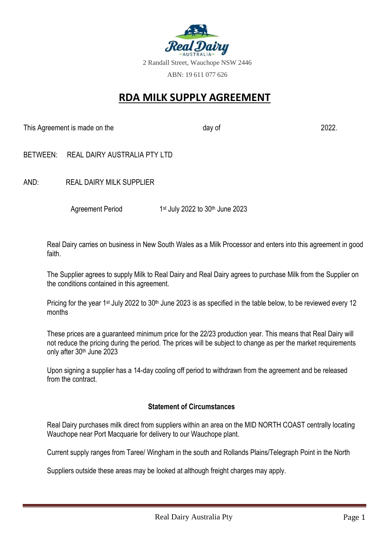

# **RDA MILK SUPPLY AGREEMENT**

This Agreement is made on the day of 2022.

- BETWEEN: REAL DAIRY AUSTRALIA PTY LTD
- AND: REAL DAIRY MILK SUPPLIER

 Agreement Period 1 1st July 2022 to 30<sup>th</sup> June 2023

Real Dairy carries on business in New South Wales as a Milk Processor and enters into this agreement in good faith.

The Supplier agrees to supply Milk to Real Dairy and Real Dairy agrees to purchase Milk from the Supplier on the conditions contained in this agreement.

Pricing for the year 1<sup>st</sup> July 2022 to 30<sup>th</sup> June 2023 is as specified in the table below, to be reviewed every 12 months

These prices are a guaranteed minimum price for the 22/23 production year. This means that Real Dairy will not reduce the pricing during the period. The prices will be subject to change as per the market requirements only after 30th June 2023

Upon signing a supplier has a 14-day cooling off period to withdrawn from the agreement and be released from the contract.

#### **Statement of Circumstances**

Real Dairy purchases milk direct from suppliers within an area on the MID NORTH COAST centrally locating Wauchope near Port Macquarie for delivery to our Wauchope plant.

Current supply ranges from Taree/ Wingham in the south and Rollands Plains/Telegraph Point in the North

Suppliers outside these areas may be looked at although freight charges may apply.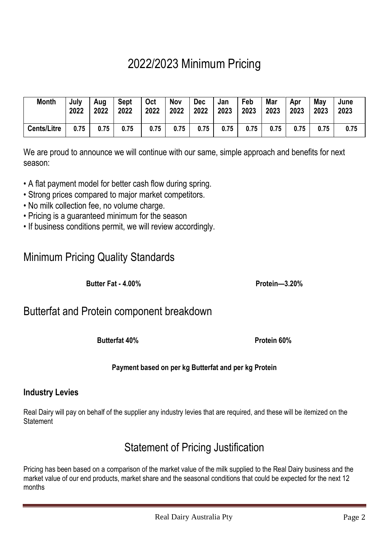# 2022/2023 Minimum Pricing

| <b>Month</b>       | July | Aug  | <b>Sept</b> | <b>Oct</b> | <b>Nov</b> | <b>Dec</b> | Jan  | Feb  | Mar  | Apr  | May  | June |
|--------------------|------|------|-------------|------------|------------|------------|------|------|------|------|------|------|
|                    | 2022 | 2022 | 2022        | 2022       | 2022       | 2022       | 2023 | 2023 | 2023 | 2023 | 2023 | 2023 |
| <b>Cents/Litre</b> | 0.75 | 0.75 | 0.75        | 0.75       | 0.75       | 0.75       | 0.75 | 0.75 | 0.75 | 0.75 | 0.75 | 0.75 |

We are proud to announce we will continue with our same, simple approach and benefits for next season:

- A flat payment model for better cash flow during spring.
- Strong prices compared to major market competitors.
- No milk collection fee, no volume charge.
- Pricing is a guaranteed minimum for the season
- If business conditions permit, we will review accordingly.

# Minimum Pricing Quality Standards

**Butter Fat - 4.00% Protein—3.20%**

# Butterfat and Protein component breakdown

**Butterfat 40% Protein 60%**

## **Payment based on per kg Butterfat and per kg Protein**

# **Industry Levies**

Real Dairy will pay on behalf of the supplier any industry levies that are required, and these will be itemized on the **Statement** 

# Statement of Pricing Justification

Pricing has been based on a comparison of the market value of the milk supplied to the Real Dairy business and the market value of our end products, market share and the seasonal conditions that could be expected for the next 12 months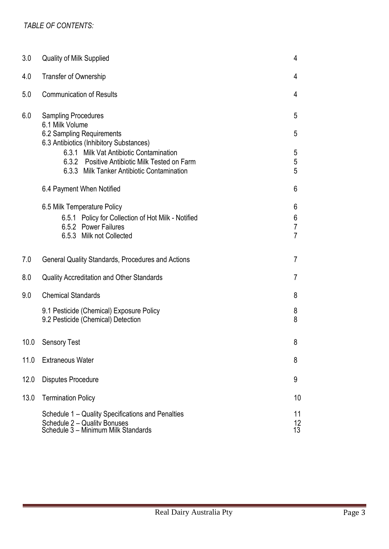| 3.0  | <b>Quality of Milk Supplied</b>                                                                                                                                                                                                                                 |                                            |  |  |  |
|------|-----------------------------------------------------------------------------------------------------------------------------------------------------------------------------------------------------------------------------------------------------------------|--------------------------------------------|--|--|--|
| 4.0  | <b>Transfer of Ownership</b>                                                                                                                                                                                                                                    |                                            |  |  |  |
| 5.0  | <b>Communication of Results</b>                                                                                                                                                                                                                                 | 4                                          |  |  |  |
| 6.0  | <b>Sampling Procedures</b><br>6.1 Milk Volume<br>6.2 Sampling Requirements<br>6.3 Antibiotics (Inhibitory Substances)<br>6.3.1 Milk Vat Antibiotic Contamination<br>6.3.2 Positive Antibiotic Milk Tested on Farm<br>6.3.3 Milk Tanker Antibiotic Contamination | 5<br>5<br>5<br>5<br>5                      |  |  |  |
|      | 6.4 Payment When Notified                                                                                                                                                                                                                                       | 6                                          |  |  |  |
|      | 6.5 Milk Temperature Policy<br>6.5.1 Policy for Collection of Hot Milk - Notified<br>6.5.2 Power Failures<br>6.5.3 Milk not Collected                                                                                                                           | 6<br>6<br>$\overline{7}$<br>$\overline{7}$ |  |  |  |
| 7.0  | <b>General Quality Standards, Procedures and Actions</b>                                                                                                                                                                                                        | $\overline{7}$                             |  |  |  |
| 8.0  | <b>Quality Accreditation and Other Standards</b>                                                                                                                                                                                                                | $\overline{7}$                             |  |  |  |
| 9.0  | <b>Chemical Standards</b>                                                                                                                                                                                                                                       | 8                                          |  |  |  |
|      | 9.1 Pesticide (Chemical) Exposure Policy<br>9.2 Pesticide (Chemical) Detection                                                                                                                                                                                  | 8<br>8                                     |  |  |  |
|      | 10.0 Sensory Test                                                                                                                                                                                                                                               | 8                                          |  |  |  |
| 11.0 | <b>Extraneous Water</b>                                                                                                                                                                                                                                         | 8                                          |  |  |  |
| 12.0 | <b>Disputes Procedure</b>                                                                                                                                                                                                                                       | 9                                          |  |  |  |
| 13.0 | <b>Termination Policy</b>                                                                                                                                                                                                                                       | 10                                         |  |  |  |
|      | Schedule 1 – Quality Specifications and Penalties<br>Schedule 2 - Quality Bonuses<br>Schedule 3 - Minimum Milk Standards                                                                                                                                        | 11<br>12<br>13                             |  |  |  |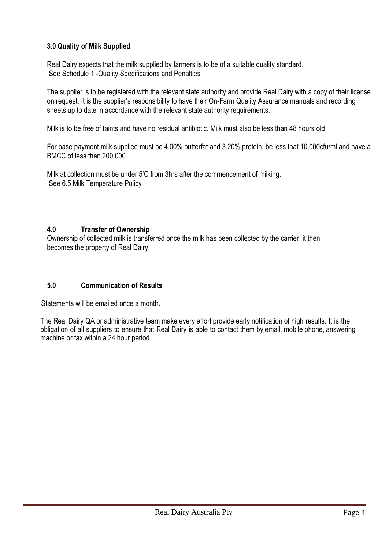### **3.0 Quality of Milk Supplied**

Real Dairy expects that the milk supplied by farmers is to be of a suitable quality standard. See Schedule 1 -Quality Specifications and Penalties

The supplier is to be registered with the relevant state authority and provide Real Dairy with a copy of their license on request. It is the supplier's responsibility to have their On-Farm Quality Assurance manuals and recording sheets up to date in accordance with the relevant state authority requirements.

Milk is to be free of taints and have no residual antibiotic. Milk must also be less than 48 hours old

For base payment milk supplied must be 4.00% butterfat and 3.20% protein, be less that 10,000cfu/ml and have a BMCC of less than 200,000

Milk at collection must be under 5'C from 3hrs after the commencement of milking. See 6.5 Milk Temperature Policy

#### **4.0 Transfer of Ownership**

Ownership of collected milk is transferred once the milk has been collected by the carrier, it then becomes the property of Real Dairy.

#### **5.0 Communication of Results**

Statements will be emailed once a month.

The Real Dairy QA or administrative team make every effort provide early notification of high results. It is the obligation of all suppliers to ensure that Real Dairy is able to contact them by email, mobile phone, answering machine or fax within a 24 hour period.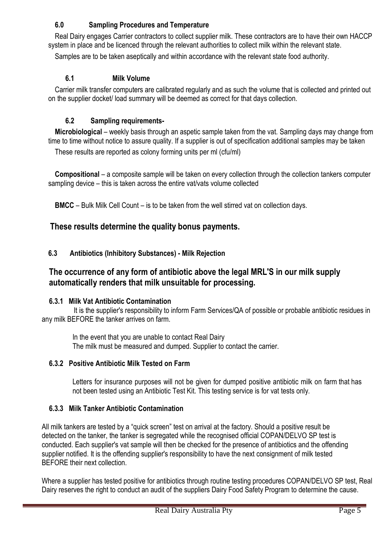## **6.0 Sampling Procedures and Temperature**

Real Dairy engages Carrier contractors to collect supplier milk. These contractors are to have their own HACCP system in place and be licenced through the relevant authorities to collect milk within the relevant state.

Samples are to be taken aseptically and within accordance with the relevant state food authority.

#### **6.1 Milk Volume**

Carrier milk transfer computers are calibrated regularly and as such the volume that is collected and printed out on the supplier docket/ load summary will be deemed as correct for that days collection.

### **6.2 Sampling requirements-**

**Microbiological** – weekly basis through an aspetic sample taken from the vat. Sampling days may change from time to time without notice to assure quality. If a supplier is out of specification additional samples may be taken

These results are reported as colony forming units per ml (cfu/ml)

**Compositional** – a composite sample will be taken on every collection through the collection tankers computer sampling device – this is taken across the entire vat/vats volume collected

**BMCC** – Bulk Milk Cell Count – is to be taken from the well stirred vat on collection days.

## **These results determine the quality bonus payments.**

### **6.3 Antibiotics (Inhibitory Substances) - Milk Rejection**

# **The occurrence of any form of antibiotic above the legal MRL'S in our milk supply automatically renders that milk unsuitable for processing.**

#### **6.3.1 Milk Vat Antibiotic Contamination**

 It is the supplier's responsibility to inform Farm Services/QA of possible or probable antibiotic residues in any milk BEFORE the tanker arrives on farm.

In the event that you are unable to contact Real Dairy The milk must be measured and dumped. Supplier to contact the carrier.

#### **6.3.2 Positive Antibiotic Milk Tested on Farm**

Letters for insurance purposes will not be given for dumped positive antibiotic milk on farm that has not been tested using an Antibiotic Test Kit. This testing service is for vat tests only.

## **6.3.3 Milk Tanker Antibiotic Contamination**

All milk tankers are tested by a "quick screen" test on arrival at the factory. Should a positive result be detected on the tanker, the tanker is segregated while the recognised official COPAN/DELVO SP test is conducted. Each supplier's vat sample will then be checked for the presence of antibiotics and the offending supplier notified. It is the offending supplier's responsibility to have the next consignment of milk tested BEFORE their next collection.

Where a supplier has tested positive for antibiotics through routine testing procedures COPAN/DELVO SP test, Real Dairy reserves the right to conduct an audit of the suppliers Dairy Food Safety Program to determine the cause.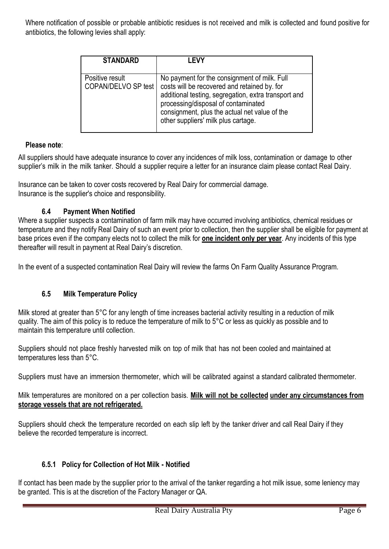Where notification of possible or probable antibiotic residues is not received and milk is collected and found positive for antibiotics, the following levies shall apply:

| <b>STANDARD</b>                        | I FVY                                                                                                                                                                                                                                                                               |
|----------------------------------------|-------------------------------------------------------------------------------------------------------------------------------------------------------------------------------------------------------------------------------------------------------------------------------------|
| Positive result<br>COPAN/DELVO SP test | No payment for the consignment of milk. Full<br>costs will be recovered and retained by. for<br>additional testing, segregation, extra transport and<br>processing/disposal of contaminated<br>consignment, plus the actual net value of the<br>other suppliers' milk plus cartage. |

#### **Please note**:

All suppliers should have adequate insurance to cover any incidences of milk loss, contamination or damage to other supplier's milk in the milk tanker. Should a supplier require a letter for an insurance claim please contact Real Dairy.

Insurance can be taken to cover costs recovered by Real Dairy for commercial damage. Insurance is the supplier's choice and responsibility.

#### **6.4 Payment When Notified**

Where a supplier suspects a contamination of farm milk may have occurred involving antibiotics, chemical residues or temperature and they notify Real Dairy of such an event prior to collection, then the supplier shall be eligible for payment at base prices even if the company elects not to collect the milk for **one incident only per year**. Any incidents of this type thereafter will result in payment at Real Dairy's discretion.

In the event of a suspected contamination Real Dairy will review the farms On Farm Quality Assurance Program.

#### **6.5 Milk Temperature Policy**

Milk stored at greater than 5°C for any length of time increases bacterial activity resulting in a reduction of milk quality. The aim of this policy is to reduce the temperature of milk to 5°C or less as quickly as possible and to maintain this temperature until collection.

Suppliers should not place freshly harvested milk on top of milk that has not been cooled and maintained at temperatures less than 5°C.

Suppliers must have an immersion thermometer, which will be calibrated against a standard calibrated thermometer.

Milk temperatures are monitored on a per collection basis. **Milk will not be collected under any circumstances from storage vessels that are not refrigerated.**

Suppliers should check the temperature recorded on each slip left by the tanker driver and call Real Dairy if they believe the recorded temperature is incorrect.

#### **6.5.1 Policy for Collection of Hot Milk - Notified**

If contact has been made by the supplier prior to the arrival of the tanker regarding a hot milk issue, some leniency may be granted. This is at the discretion of the Factory Manager or QA.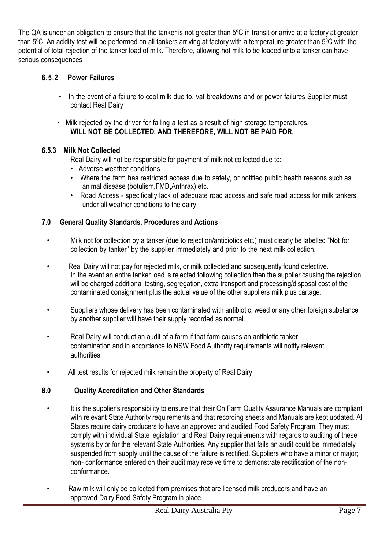The QA is under an obligation to ensure that the tanker is not greater than 5ºC in transit or arrive at a factory at greater than 5ºC. An acidity test will be performed on all tankers arriving at factory with a temperature greater than 5ºC with the potential of total rejection of the tanker load of milk. Therefore, allowing hot milk to be loaded onto a tanker can have serious consequences

#### **6.5.2 Power Failures**

- In the event of a failure to cool milk due to, vat breakdowns and or power failures Supplier must contact Real Dairy
- Milk rejected by the driver for failing a test as a result of high storage temperatures, **WILL NOT BE COLLECTED, AND THEREFORE, WILL NOT BE PAID FOR.**

#### **6.5.3 Milk Not Collected**

Real Dairy will not be responsible for payment of milk not collected due to:

- Adverse weather conditions
- Where the farm has restricted access due to safety, or notified public health reasons such as animal disease (botulism,FMD,Anthrax) etc.
- Road Access specifically lack of adequate road access and safe road access for milk tankers under all weather conditions to the dairy

### **7.0 General Quality Standards, Procedures and Actions**

- Milk not for collection by a tanker (due to rejection/antibiotics etc.) must clearly be labelled "Not for collection by tanker" by the supplier immediately and prior to the next milk collection.
- Real Dairy will not pay for rejected milk, or milk collected and subsequently found defective. In the event an entire tanker load is rejected following collection then the supplier causing the rejection will be charged additional testing, segregation, extra transport and processing/disposal cost of the contaminated consignment plus the actual value of the other suppliers milk plus cartage.
- Suppliers whose delivery has been contaminated with antibiotic, weed or any other foreign substance by another supplier will have their supply recorded as normal.
- Real Dairy will conduct an audit of a farm if that farm causes an antibiotic tanker contamination and in accordance to NSW Food Authority requirements will notify relevant authorities.
- All test results for rejected milk remain the property of Real Dairy

## **8.0 Quality Accreditation and Other Standards**

- It is the supplier's responsibility to ensure that their On Farm Quality Assurance Manuals are compliant with relevant State Authority requirements and that recording sheets and Manuals are kept updated. All States require dairy producers to have an approved and audited Food Safety Program. They must comply with individual State legislation and Real Dairy requirements with regards to auditing of these systems by or for the relevant State Authorities. Any supplier that fails an audit could be immediately suspended from supply until the cause of the failure is rectified. Suppliers who have a minor or major; non- conformance entered on their audit may receive time to demonstrate rectification of the nonconformance.
- Raw milk will only be collected from premises that are licensed milk producers and have an approved Dairy Food Safety Program in place.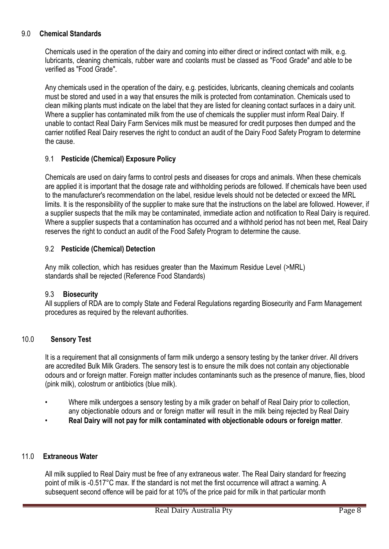#### 9.0 **Chemical Standards**

Chemicals used in the operation of the dairy and coming into either direct or indirect contact with milk, e.g. lubricants, cleaning chemicals, rubber ware and coolants must be classed as "Food Grade" and able to be verified as "Food Grade".

Any chemicals used in the operation of the dairy, e.g. pesticides, lubricants, cleaning chemicals and coolants must be stored and used in a way that ensures the milk is protected from contamination. Chemicals used to clean milking plants must indicate on the label that they are listed for cleaning contact surfaces in a dairy unit. Where a supplier has contaminated milk from the use of chemicals the supplier must inform Real Dairy. If unable to contact Real Dairy Farm Services milk must be measured for credit purposes then dumped and the carrier notified Real Dairy reserves the right to conduct an audit of the Dairy Food Safety Program to determine the cause.

#### 9.1 **Pesticide (Chemical) Exposure Policy**

Chemicals are used on dairy farms to control pests and diseases for crops and animals. When these chemicals are applied it is important that the dosage rate and withholding periods are followed. If chemicals have been used to the manufacturer's recommendation on the label, residue levels should not be detected or exceed the MRL limits. It is the responsibility of the supplier to make sure that the instructions on the label are followed. However, if a supplier suspects that the milk may be contaminated, immediate action and notification to Real Dairy is required. Where a supplier suspects that a contamination has occurred and a withhold period has not been met, Real Dairy reserves the right to conduct an audit of the Food Safety Program to determine the cause.

#### 9.2 **Pesticide (Chemical) Detection**

Any milk collection, which has residues greater than the Maximum Residue Level (>MRL) standards shall be rejected (Reference Food Standards)

#### 9.3 **Biosecurity**

All suppliers of RDA are to comply State and Federal Regulations regarding Biosecurity and Farm Management procedures as required by the relevant authorities.

#### 10.0 **Sensory Test**

It is a requirement that all consignments of farm milk undergo a sensory testing by the tanker driver. All drivers are accredited Bulk Milk Graders. The sensory test is to ensure the milk does not contain any objectionable odours and or foreign matter. Foreign matter includes contaminants such as the presence of manure, flies, blood (pink milk), colostrum or antibiotics (blue milk).

- Where milk undergoes a sensory testing by a milk grader on behalf of Real Dairy prior to collection, any objectionable odours and or foreign matter will result in the milk being rejected by Real Dairy
- **Real Dairy will not pay for milk contaminated with objectionable odours or foreign matter**.

#### 11.0 **Extraneous Water**

All milk supplied to Real Dairy must be free of any extraneous water. The Real Dairy standard for freezing point of milk is -0.517°C max. If the standard is not met the first occurrence will attract a warning. A subsequent second offence will be paid for at 10% of the price paid for milk in that particular month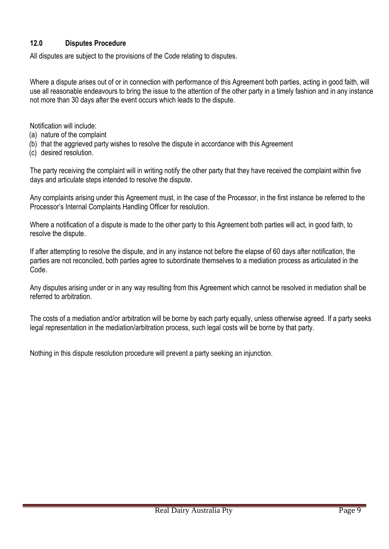#### **12.0 Disputes Procedure**

All disputes are subject to the provisions of the Code relating to disputes.

Where a dispute arises out of or in connection with performance of this Agreement both parties, acting in good faith, will use all reasonable endeavours to bring the issue to the attention of the other party in a timely fashion and in any instance not more than 30 days after the event occurs which leads to the dispute.

Notification will include:

- (a) nature of the complaint
- (b) that the aggrieved party wishes to resolve the dispute in accordance with this Agreement
- (c) desired resolution.

The party receiving the complaint will in writing notify the other party that they have received the complaint within five days and articulate steps intended to resolve the dispute.

Any complaints arising under this Agreement must, in the case of the Processor, in the first instance be referred to the Processor's Internal Complaints Handling Officer for resolution.

Where a notification of a dispute is made to the other party to this Agreement both parties will act, in good faith, to resolve the dispute.

If after attempting to resolve the dispute, and in any instance not before the elapse of 60 days after notification, the parties are not reconciled, both parties agree to subordinate themselves to a mediation process as articulated in the Code.

Any disputes arising under or in any way resulting from this Agreement which cannot be resolved in mediation shall be referred to arbitration.

The costs of a mediation and/or arbitration will be borne by each party equally, unless otherwise agreed. If a party seeks legal representation in the mediation/arbitration process, such legal costs will be borne by that party.

Nothing in this dispute resolution procedure will prevent a party seeking an injunction.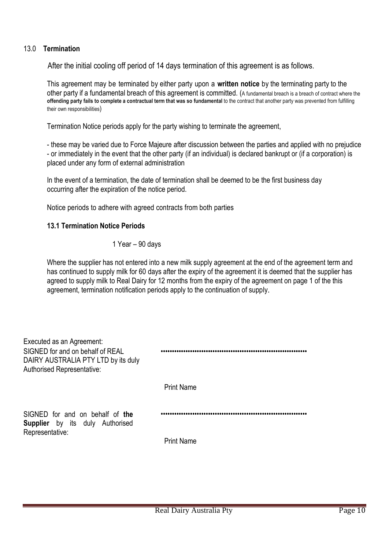#### 13.0 **Termination**

After the initial cooling off period of 14 days termination of this agreement is as follows.

This agreement may be terminated by either party upon a **written notice** by the terminating party to the other party if a fundamental breach of this agreement is committed. (A fundamental breach is a breach of contract where the **offending party fails to complete a contractual term that was so fundamental** to the contract that another party was prevented from fulfilling their own responsibilities)

Termination Notice periods apply for the party wishing to terminate the agreement,

- these may be varied due to Force Majeure after discussion between the parties and applied with no prejudice - or immediately in the event that the other party (if an individual) is declared bankrupt or (if a corporation) is placed under any form of external administration

In the event of a termination, the date of termination shall be deemed to be the first business day occurring after the expiration of the notice period.

Notice periods to adhere with agreed contracts from both parties

#### **13.1 Termination Notice Periods**

1 Year – 90 days

Where the supplier has not entered into a new milk supply agreement at the end of the agreement term and has continued to supply milk for 60 days after the expiry of the agreement it is deemed that the supplier has agreed to supply milk to Real Dairy for 12 months from the expiry of the agreement on page 1 of the this agreement, termination notification periods apply to the continuation of supply.

| <b>Print Name</b> |
|-------------------|
|                   |
| <b>Print Name</b> |
|                   |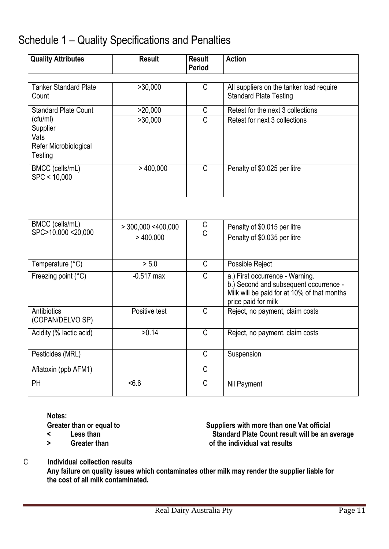# Schedule 1 – Quality Specifications and Penalties

| <b>Quality Attributes</b>                                        | <b>Result</b>        | <b>Result</b><br>Period | <b>Action</b>                                                                                                                                   |
|------------------------------------------------------------------|----------------------|-------------------------|-------------------------------------------------------------------------------------------------------------------------------------------------|
|                                                                  |                      |                         |                                                                                                                                                 |
| <b>Tanker Standard Plate</b><br>Count                            | >30,000              | C                       | All suppliers on the tanker load require<br><b>Standard Plate Testing</b>                                                                       |
| <b>Standard Plate Count</b>                                      | >20,000              | C                       | Retest for the next 3 collections                                                                                                               |
| (cfu/ml)<br>Supplier<br>Vats<br>Refer Microbiological<br>Testing | >30,000              | $\overline{C}$          | Retest for next 3 collections                                                                                                                   |
| BMCC (cells/mL)<br>SPC < 10,000                                  | $>$ 400,000          | C                       | Penalty of \$0.025 per litre                                                                                                                    |
|                                                                  |                      |                         |                                                                                                                                                 |
| BMCC (cells/mL)                                                  | $>$ 300,000 <400,000 | $\frac{C}{C}$           | Penalty of \$0.015 per litre                                                                                                                    |
| SPC>10,000 <20,000                                               | >400,000             |                         | Penalty of \$0.035 per litre                                                                                                                    |
| Temperature (°C)                                                 | > 5.0                | C                       | Possible Reject                                                                                                                                 |
| Freezing point (°C)                                              | $-0.517$ max         | C                       | a.) First occurrence - Warning.<br>b.) Second and subsequent occurrence -<br>Milk will be paid for at 10% of that months<br>price paid for milk |
| <b>Antibiotics</b><br>(COPAN/DELVO SP)                           | Positive test        | $\overline{C}$          | Reject, no payment, claim costs                                                                                                                 |
| Acidity (% lactic acid)                                          | >0.14                | C                       | Reject, no payment, claim costs                                                                                                                 |
| Pesticides (MRL)                                                 |                      | $\overline{\mathsf{C}}$ | Suspension                                                                                                                                      |
| Aflatoxin (ppb AFM1)                                             |                      | $\overline{\mathsf{C}}$ |                                                                                                                                                 |
| PH                                                               | 5.6                  | C                       | Nil Payment                                                                                                                                     |

**Notes:**

- 
- 

Greater than or equal to **Suppliers** with more than one Vat official<br>
Standard Plate Count result will be an a  $\leq$  **Less than** Less **than** Standard Plate Count result will be an average **> Greater than of the individual vat results**

C **Individual collection results**

**Any failure on quality issues which contaminates other milk may render the supplier liable for the cost of all milk contaminated.**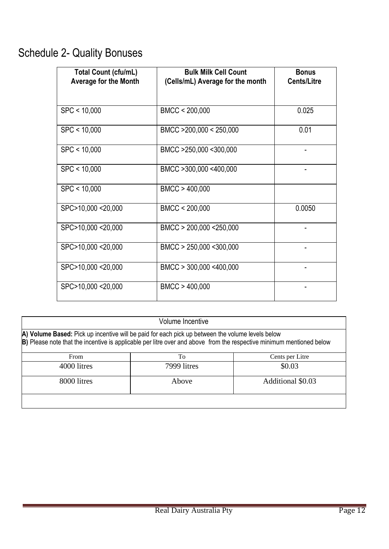# Schedule 2- Quality Bonuses

| <b>Total Count (cfu/mL)</b><br><b>Average for the Month</b> | <b>Bulk Milk Cell Count</b><br>(Cells/mL) Average for the month | <b>Bonus</b><br><b>Cents/Litre</b> |
|-------------------------------------------------------------|-----------------------------------------------------------------|------------------------------------|
| SPC < 10,000                                                | BMCC < 200,000                                                  | 0.025                              |
| SPC < 10,000                                                | BMCC >200,000 < 250,000                                         | 0.01                               |
| SPC < 10,000                                                | BMCC >250,000 <300,000                                          |                                    |
| SPC < 10,000                                                | BMCC >300,000 <400,000                                          |                                    |
| SPC < 10,000                                                | BMCC > 400,000                                                  |                                    |
| SPC>10,000 <20,000                                          | BMCC < 200,000                                                  | 0.0050                             |
| SPC>10,000 <20,000                                          | BMCC > 200,000 <250,000                                         |                                    |
| SPC>10,000 <20,000                                          | BMCC > 250,000 <300,000                                         |                                    |
| SPC>10,000 <20,000                                          | BMCC > 300,000 <400,000                                         |                                    |
| SPC>10,000 <20,000                                          | BMCC > 400,000                                                  |                                    |

| Volume Incentive                                                                                                                                                                                                         |                       |        |  |  |  |
|--------------------------------------------------------------------------------------------------------------------------------------------------------------------------------------------------------------------------|-----------------------|--------|--|--|--|
| A) Volume Based: Pick up incentive will be paid for each pick up between the volume levels below<br>B) Please note that the incentive is applicable per litre over and above from the respective minimum mentioned below |                       |        |  |  |  |
| From                                                                                                                                                                                                                     | To<br>Cents per Litre |        |  |  |  |
| 4000 litres                                                                                                                                                                                                              | 7999 litres           | \$0.03 |  |  |  |
| 8000 litres<br>Additional \$0.03<br>Above                                                                                                                                                                                |                       |        |  |  |  |
|                                                                                                                                                                                                                          |                       |        |  |  |  |